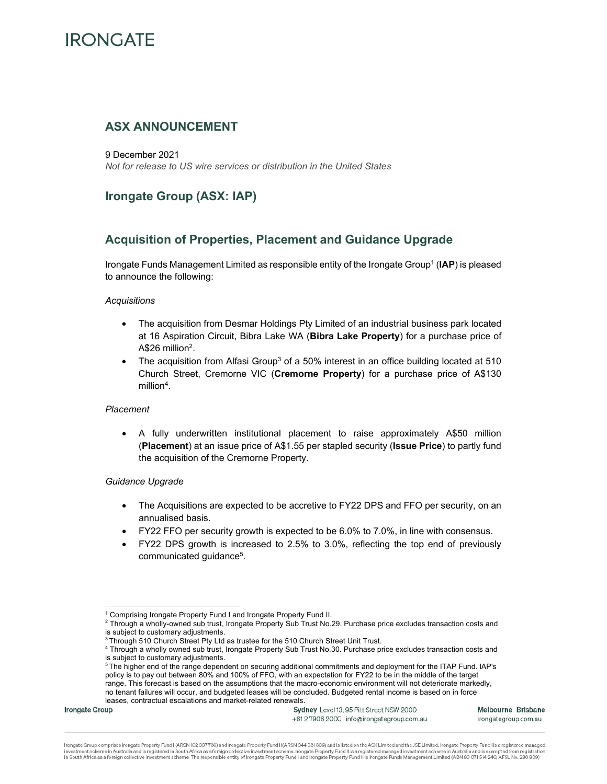# **ASX ANNOUNCEMENT**

9 December 2021 *Not for release to US wire services or distribution in the United States* 

# **Irongate Group (ASX: IAP)**

# **Acquisition of Properties, Placement and Guidance Upgrade**

Irongate Funds Management Limited as responsible entity of the Irongate Group<sup>1</sup> (IAP) is pleased to announce the following:

### *Acquisitions*

- The acquisition from Desmar Holdings Pty Limited of an industrial business park located at 16 Aspiration Circuit, Bibra Lake WA (**Bibra Lake Property**) for a purchase price of A\$26 million<sup>2</sup>.
- The acquisition from Alfasi Group<sup>3</sup> of a 50% interest in an office building located at 510 Church Street, Cremorne VIC (**Cremorne Property**) for a purchase price of A\$130 million<sup>4</sup>.

## *Placement*

• A fully underwritten institutional placement to raise approximately A\$50 million (**Placement**) at an issue price of A\$1.55 per stapled security (**Issue Price**) to partly fund the acquisition of the Cremorne Property.

## *Guidance Upgrade*

- The Acquisitions are expected to be accretive to FY22 DPS and FFO per security, on an annualised basis.
- FY22 FFO per security growth is expected to be 6.0% to 7.0%, in line with consensus.
- FY22 DPS growth is increased to 2.5% to 3.0%, reflecting the top end of previously communicated guidance5.

+612 7906 2000 info@irongategroup.com.au

Melbourne Brisbane irongategroup.com.au

irongate Group comprises Irongate Property Fund I (ARSN 162 067736) and Irongate Property Fund II (ARSN 644 081 309) and is listed on the ASX Limited and the JSE Limited. Irongate Property Fund I is a registered managed investment scheme in Australia and is registered in South Africa as a foreign collective investment scheme. Irongate Property Fund II is a registered managed investment scheme in Australia and is exempted from registration

<sup>&</sup>lt;sup>1</sup> Comprising Irongate Property Fund I and Irongate Property Fund II.

 $^2$  Through a wholly-owned sub trust, Irongate Property Sub Trust No.29. Purchase price excludes transaction costs and is subject to customary adjustments.

<sup>&</sup>lt;sup>3</sup> Through 510 Church Street Pty Ltd as trustee for the 510 Church Street Unit Trust.

<sup>4</sup> Through a wholly owned sub trust, Irongate Property Sub Trust No.30. Purchase price excludes transaction costs and is subject to customary adjustments.

<sup>5</sup> The higher end of the range dependent on securing additional commitments and deployment for the ITAP Fund. lAP's policy is to pay out between 80% and 100% of FFO, with an expectation for FY22 to be in the middle of the target range. This forecast is based on the assumptions that the macro-economic environment will not deteriorate markedly, no tenant failures will occur, and budgeted leases will be concluded. Budgeted rental income is based on in force leases, contractual escalations and market-related renewals.<br>Irongate Group Sydney Level 13, 95 Pitt Street NSW 2000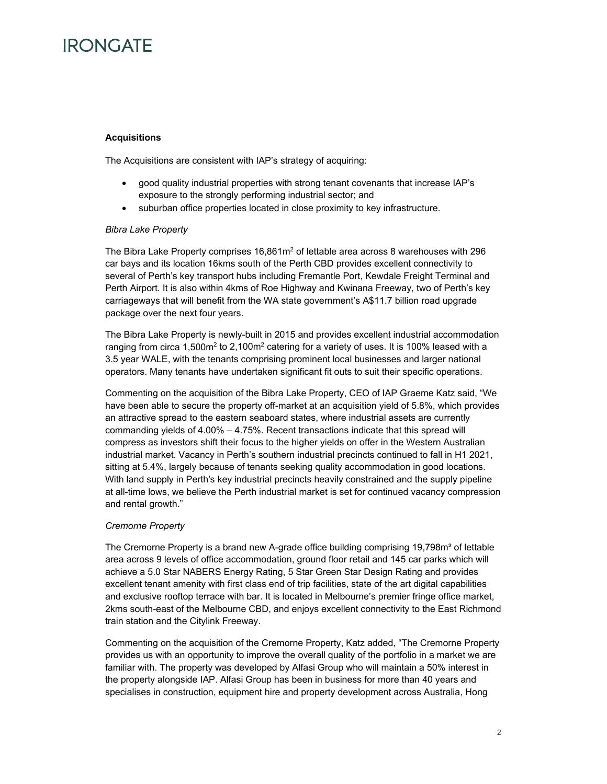## **Acquisitions**

The Acquisitions are consistent with IAP's strategy of acquiring:

- good quality industrial properties with strong tenant covenants that increase IAP's exposure to the strongly performing industrial sector; and
- suburban office properties located in close proximity to key infrastructure.

### *Bibra Lake Property*

The Bibra Lake Property comprises  $16,861m^2$  of lettable area across 8 warehouses with 296 car bays and its location 16kms south of the Perth CBD provides excellent connectivity to several of Perth's key transport hubs including Fremantle Port, Kewdale Freight Terminal and Perth Airport. It is also within 4kms of Roe Highway and Kwinana Freeway, two of Perth's key carriageways that will benefit from the WA state government's A\$11.7 billion road upgrade package over the next four years.

The Bibra Lake Property is newly-built in 2015 and provides excellent industrial accommodation ranging from circa 1,500 $m<sup>2</sup>$  to 2,100 $m<sup>2</sup>$  catering for a variety of uses. It is 100% leased with a 3.5 year WALE, with the tenants comprising prominent local businesses and larger national operators. Many tenants have undertaken significant fit outs to suit their specific operations.

Commenting on the acquisition of the Bibra Lake Property, CEO of IAP Graeme Katz said, "We have been able to secure the property off-market at an acquisition yield of 5.8%, which provides an attractive spread to the eastern seaboard states, where industrial assets are currently commanding yields of 4.00% – 4.75%. Recent transactions indicate that this spread will compress as investors shift their focus to the higher yields on offer in the Western Australian industrial market. Vacancy in Perth's southern industrial precincts continued to fall in H1 2021, sitting at 5.4%, largely because of tenants seeking quality accommodation in good locations. With land supply in Perth's key industrial precincts heavily constrained and the supply pipeline at all-time lows, we believe the Perth industrial market is set for continued vacancy compression and rental growth."

## *Cremorne Property*

The Cremorne Property is a brand new A-grade office building comprising 19,798m² of lettable area across 9 levels of office accommodation, ground floor retail and 145 car parks which will achieve a 5.0 Star NABERS Energy Rating, 5 Star Green Star Design Rating and provides excellent tenant amenity with first class end of trip facilities, state of the art digital capabilities and exclusive rooftop terrace with bar. It is located in Melbourne's premier fringe office market, 2kms south-east of the Melbourne CBD, and enjoys excellent connectivity to the East Richmond train station and the Citylink Freeway.

Commenting on the acquisition of the Cremorne Property, Katz added, "The Cremorne Property provides us with an opportunity to improve the overall quality of the portfolio in a market we are familiar with. The property was developed by Alfasi Group who will maintain a 50% interest in the property alongside IAP. Alfasi Group has been in business for more than 40 years and specialises in construction, equipment hire and property development across Australia, Hong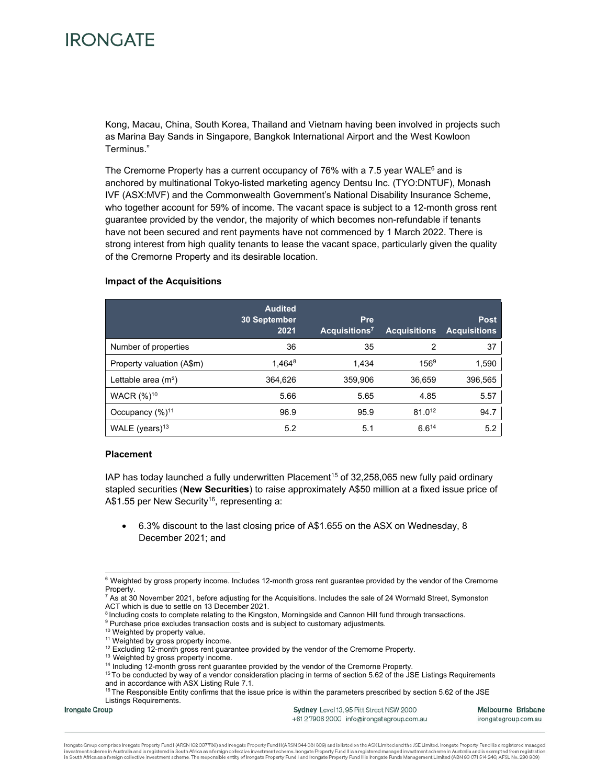Kong, Macau, China, South Korea, Thailand and Vietnam having been involved in projects such as Marina Bay Sands in Singapore, Bangkok International Airport and the West Kowloon Terminus."

The Cremorne Property has a current occupancy of 76% with a 7.5 year WALE $6$  and is anchored by multinational Tokyo-listed marketing agency Dentsu Inc. (TYO:DNTUF), Monash IVF (ASX:MVF) and the Commonwealth Government's National Disability Insurance Scheme, who together account for 59% of income. The vacant space is subject to a 12-month gross rent guarantee provided by the vendor, the majority of which becomes non-refundable if tenants have not been secured and rent payments have not commenced by 1 March 2022. There is strong interest from high quality tenants to lease the vacant space, particularly given the quality of the Cremorne Property and its desirable location.

#### **Impact of the Acquisitions**

|                           | <b>Audited</b><br><b>30 September</b><br>2021 | Pre<br>Acquisitions <sup>7</sup> | <b>Acquisitions</b> | <b>Post</b><br><b>Acquisitions</b> |
|---------------------------|-----------------------------------------------|----------------------------------|---------------------|------------------------------------|
| Number of properties      | 36                                            | 35                               | 2                   | 37                                 |
| Property valuation (A\$m) | $1.464^8$                                     | 1.434                            | $156^9$             | 1,590                              |
| Lettable area $(m2)$      | 364,626                                       | 359,906                          | 36,659              | 396,565                            |
| WACR (%) <sup>10</sup>    | 5.66                                          | 5.65                             | 4.85                | 5.57                               |
| Occupancy $(\%)^{11}$     | 96.9                                          | 95.9                             | $81.0^{12}$         | 94.7                               |
| WALE (years) $13$         | 5.2                                           | 5.1                              | $6.6^{14}$          | 5.2                                |

#### **Placement**

IAP has today launched a fully underwritten Placement<sup>15</sup> of 32,258,065 new fully paid ordinary stapled securities (**New Securities**) to raise approximately A\$50 million at a fixed issue price of A\$1.55 per New Security<sup>16</sup>, representing a:

• 6.3% discount to the last closing price of A\$1.655 on the ASX on Wednesday, 8 December 2021; and

<sup>9</sup> Purchase price excludes transaction costs and is subject to customary adjustments.

**Irongate Group** 

Sydney Level 13, 95 Pitt Street NSW 2000 +6127906 2000 info@irongategroup.com.au Melbourne Brisbane irongategroup.com.au

Irongate Group comprises Irongate Property Fund I (ARSN 162 067736) and Irongate Property Fund II (ARSN 644 081 309) and is listed on the ASX Limited and the JSE Limited, Irongate Property Fund I is a registered managed investment scheme in Australia and is registered in South Africa as a foreign collective investment scheme. Irongate Property Fund II is a registered managed investment scheme in Australia and is exempted from registration

<sup>&</sup>lt;sup>6</sup> Weighted by gross property income. Includes 12-month gross rent guarantee provided by the vendor of the Cremorne Property.

 $^7$  As at 30 November 2021, before adjusting for the Acquisitions. Includes the sale of 24 Wormald Street, Symonston ACT which is due to settle on 13 December 2021.

<sup>&</sup>lt;sup>8</sup> Including costs to complete relating to the Kingston, Morningside and Cannon Hill fund through transactions.

<sup>10</sup> Weighted by property value.

<sup>&</sup>lt;sup>11</sup> Weighted by gross property income.

<sup>&</sup>lt;sup>12</sup> Excluding 12-month gross rent guarantee provided by the vendor of the Cremorne Property.

<sup>&</sup>lt;sup>13</sup> Weighted by gross property income.

<sup>&</sup>lt;sup>14</sup> Including 12-month gross rent guarantee provided by the vendor of the Cremorne Property.

<sup>&</sup>lt;sup>15</sup> To be conducted by way of a vendor consideration placing in terms of section 5.62 of the JSE Listings Requirements and in accordance with ASX Listing Rule 7.1.

<sup>&</sup>lt;sup>16</sup> The Responsible Entity confirms that the issue price is within the parameters prescribed by section 5.62 of the JSE Listings Requirements.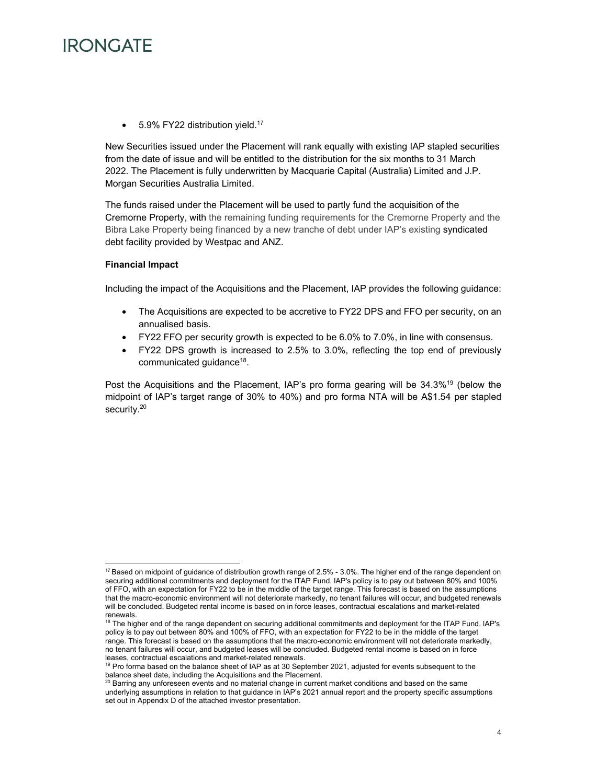

5.9% FY22 distribution yield.<sup>17</sup>

New Securities issued under the Placement will rank equally with existing IAP stapled securities from the date of issue and will be entitled to the distribution for the six months to 31 March 2022. The Placement is fully underwritten by Macquarie Capital (Australia) Limited and J.P. Morgan Securities Australia Limited.

The funds raised under the Placement will be used to partly fund the acquisition of the Cremorne Property, with the remaining funding requirements for the Cremorne Property and the Bibra Lake Property being financed by a new tranche of debt under IAP's existing syndicated debt facility provided by Westpac and ANZ.

### **Financial Impact**

Including the impact of the Acquisitions and the Placement, IAP provides the following guidance:

- The Acquisitions are expected to be accretive to FY22 DPS and FFO per security, on an annualised basis.
- FY22 FFO per security growth is expected to be 6.0% to 7.0%, in line with consensus.
- FY22 DPS growth is increased to 2.5% to 3.0%, reflecting the top end of previously communicated guidance<sup>18</sup>.

Post the Acquisitions and the Placement, IAP's pro forma gearing will be 34.3%<sup>19</sup> (below the midpoint of IAP's target range of 30% to 40%) and pro forma NTA will be A\$1.54 per stapled security.<sup>20</sup>

 $17$  Based on midpoint of guidance of distribution growth range of 2.5% - 3.0%. The higher end of the range dependent on securing additional commitments and deployment for the ITAP Fund. lAP's policy is to pay out between 80% and 100% of FFO, with an expectation for FY22 to be in the middle of the target range. This forecast is based on the assumptions that the macro-economic environment will not deteriorate markedly, no tenant failures will occur, and budgeted renewals will be concluded. Budgeted rental income is based on in force leases, contractual escalations and market-related renewals.

<sup>&</sup>lt;sup>18</sup> The higher end of the range dependent on securing additional commitments and deployment for the ITAP Fund. IAP's policy is to pay out between 80% and 100% of FFO, with an expectation for FY22 to be in the middle of the target range. This forecast is based on the assumptions that the macro-economic environment will not deteriorate markedly, no tenant failures will occur, and budgeted leases will be concluded. Budgeted rental income is based on in force leases, contractual escalations and market-related renewals.

<sup>&</sup>lt;sup>19</sup> Pro forma based on the balance sheet of IAP as at 30 September 2021, adjusted for events subsequent to the balance sheet date, including the Acquisitions and the Placement.

<sup>20</sup> Barring any unforeseen events and no material change in current market conditions and based on the same underlying assumptions in relation to that guidance in IAP's 2021 annual report and the property specific assumptions set out in Appendix D of the attached investor presentation.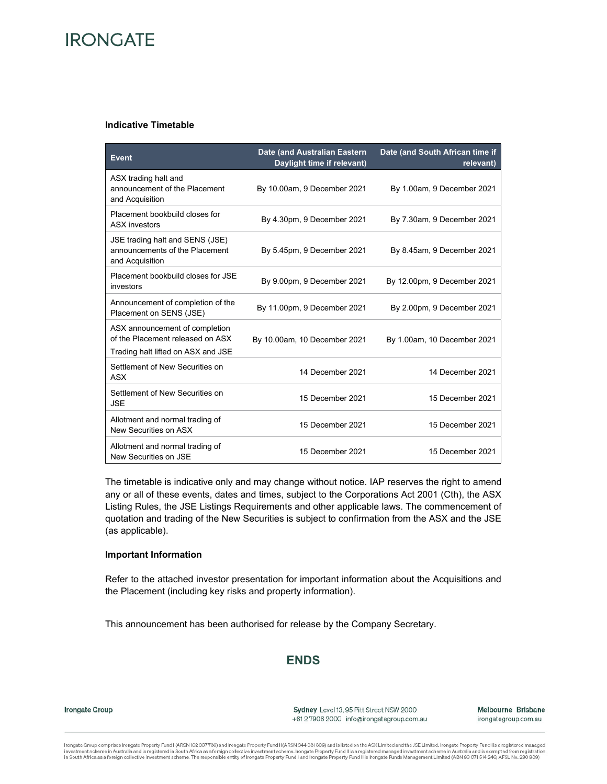#### **Indicative Timetable**

| <b>Event</b>                                                                                             | Date (and Australian Eastern<br>Daylight time if relevant) | Date (and South African time if<br>relevant) |
|----------------------------------------------------------------------------------------------------------|------------------------------------------------------------|----------------------------------------------|
| ASX trading halt and<br>announcement of the Placement<br>and Acquisition                                 | By 10.00am, 9 December 2021                                | By 1.00am, 9 December 2021                   |
| Placement bookbuild closes for<br><b>ASX</b> investors                                                   | By 4.30pm, 9 December 2021                                 | By 7.30am, 9 December 2021                   |
| JSE trading halt and SENS (JSE)<br>announcements of the Placement<br>and Acquisition                     | By 5.45pm, 9 December 2021                                 | By 8.45am, 9 December 2021                   |
| Placement bookbuild closes for JSE<br>investors                                                          | By 9.00pm, 9 December 2021                                 | By 12.00pm, 9 December 2021                  |
| Announcement of completion of the<br>Placement on SENS (JSE)                                             | By 11.00pm, 9 December 2021                                | By 2.00pm, 9 December 2021                   |
| ASX announcement of completion<br>of the Placement released on ASX<br>Trading halt lifted on ASX and JSE | By 10.00am, 10 December 2021                               | By 1.00am, 10 December 2021                  |
| Settlement of New Securities on<br><b>ASX</b>                                                            | 14 December 2021                                           | 14 December 2021                             |
| Settlement of New Securities on<br><b>JSE</b>                                                            | 15 December 2021                                           | 15 December 2021                             |
| Allotment and normal trading of<br>New Securities on ASX                                                 | 15 December 2021                                           | 15 December 2021                             |
| Allotment and normal trading of<br>New Securities on JSE                                                 | 15 December 2021                                           | 15 December 2021                             |

The timetable is indicative only and may change without notice. IAP reserves the right to amend any or all of these events, dates and times, subject to the Corporations Act 2001 (Cth), the ASX Listing Rules, the JSE Listings Requirements and other applicable laws. The commencement of quotation and trading of the New Securities is subject to confirmation from the ASX and the JSE (as applicable).

### **Important Information**

Refer to the attached investor presentation for important information about the Acquisitions and the Placement (including key risks and property information).

This announcement has been authorised for release by the Company Secretary.

# **ENDS**

Irongate Group

Sydney Level 13, 95 Pitt Street NSW 2000 +6127906 2000 info@irongategroup.com.au Melbourne Brisbane irongategroup.com.au

Irongate Group comprises Irongate Property Fund I (ARSN 162 067736) and Irongate Property Fund II (ARSN 644 081 309) and is listed on the ASX Limited and the JSE Limited. Irongate Property Fund I is a registered managed investment scheme in Australia and is registered in South Africa as a foreign collective investment scheme. Irongate Property Fund II is a registered managed investment scheme in Australia and is exempted from registration